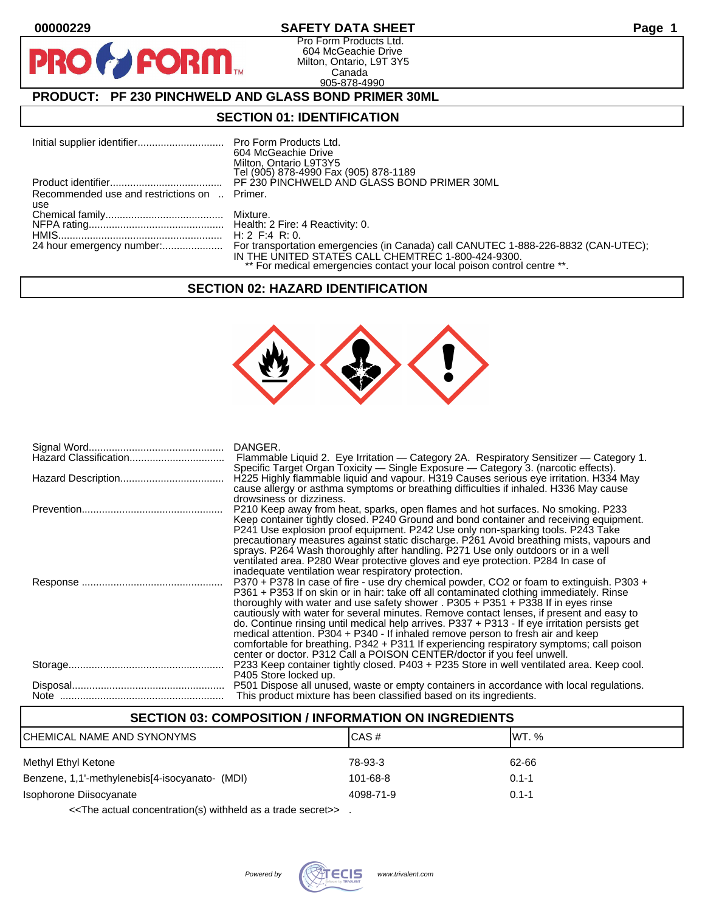**PIR** 

### **00000229 SAFETY DATA SHEET Page 1**

Pro Form Products Ltd. 604 McGeachie Drive Milton, Ontario, L9T 3Y5 Canada 905-878-4990

# **PRODUCT: PF 230 PINCHWELD AND GLASS BOND PRIMER 30ML**

**FORM.** 

### **SECTION 01: IDENTIFICATION**

|                                              | 604 McGeachie Drive<br>Milton, Ontario L9T3Y5<br>Tel (905) 878-4990 Fax (905) 878-1189                                        |
|----------------------------------------------|-------------------------------------------------------------------------------------------------------------------------------|
|                                              | PF 230 PINCHWELD AND GLASS BOND PRIMER 30ML                                                                                   |
| Recommended use and restrictions on  Primer. |                                                                                                                               |
| use                                          |                                                                                                                               |
|                                              |                                                                                                                               |
|                                              |                                                                                                                               |
|                                              | H: $2$ F: 4 R: 0.                                                                                                             |
|                                              | IN THE UNITED STATES CALL CHEMTREC 1-800-424-9300.<br>** For medical emergencies contact your local poison control centre **. |

### **SECTION 02: HAZARD IDENTIFICATION**



| DANGER.<br>Flammable Liquid 2. Eye Irritation — Category 2A. Respiratory Sensitizer — Category 1.<br>Specific Target Organ Toxicity — Single Exposure — Category 3. (narcotic effects).                                                                                                                                                                                                                                                                                                                                                                                                                                                                                                                                           |
|-----------------------------------------------------------------------------------------------------------------------------------------------------------------------------------------------------------------------------------------------------------------------------------------------------------------------------------------------------------------------------------------------------------------------------------------------------------------------------------------------------------------------------------------------------------------------------------------------------------------------------------------------------------------------------------------------------------------------------------|
| H225 Highly flammable liquid and vapour. H319 Causes serious eye irritation. H334 May<br>cause allergy or asthma symptoms or breathing difficulties if inhaled. H336 May cause<br>drowsiness or dizziness.                                                                                                                                                                                                                                                                                                                                                                                                                                                                                                                        |
| P210 Keep away from heat, sparks, open flames and hot surfaces. No smoking. P233<br>Keep container tightly closed. P240 Ground and bond container and receiving equipment.<br>P241 Use explosion proof equipment. P242 Use only non-sparking tools. P243 Take<br>precautionary measures against static discharge. P261 Avoid breathing mists, vapours and<br>sprays. P264 Wash thoroughly after handling. P271 Use only outdoors or in a well<br>ventilated area. P280 Wear protective gloves and eye protection. P284 In case of<br>inadequate ventilation wear respiratory protection.                                                                                                                                          |
| P370 + P378 In case of fire - use dry chemical powder, CO2 or foam to extinguish. P303 +<br>P361 + P353 If on skin or in hair: take off all contaminated clothing immediately. Rinse<br>thoroughly with water and use safety shower . $P305 + P351 + P338$ If in eyes rinse<br>cautiously with water for several minutes. Remove contact lenses, if present and easy to<br>do. Continue rinsing until medical help arrives. P337 + P313 - If eye irritation persists get<br>medical attention. P304 + P340 - If inhaled remove person to fresh air and keep<br>comfortable for breathing. P342 + P311 If experiencing respiratory symptoms; call poison<br>center or doctor. P312 Call a POISON CENTER/doctor if you feel unwell. |
| P233 Keep container tightly closed. P403 + P235 Store in well ventilated area. Keep cool.<br>P405 Store locked up.                                                                                                                                                                                                                                                                                                                                                                                                                                                                                                                                                                                                                |
| P501 Dispose all unused, waste or empty containers in accordance with local regulations.<br>This product mixture has been classified based on its ingredients.                                                                                                                                                                                                                                                                                                                                                                                                                                                                                                                                                                    |

# **SECTION 03: COMPOSITION / INFORMATION ON INGREDIENTS**

| CHEMICAL NAME AND SYNONYMS                     | ICAS#     | IWT. %    |  |
|------------------------------------------------|-----------|-----------|--|
| Methyl Ethyl Ketone                            | 78-93-3   | 62-66     |  |
| Benzene, 1,1'-methylenebis[4-isocyanato- (MDI) | 101-68-8  | $0.1 - 1$ |  |
| Isophorone Diisocyanate                        | 4098-71-9 | $0.1 - 1$ |  |
|                                                |           |           |  |

<<The actual concentration(s) withheld as a trade secret>> .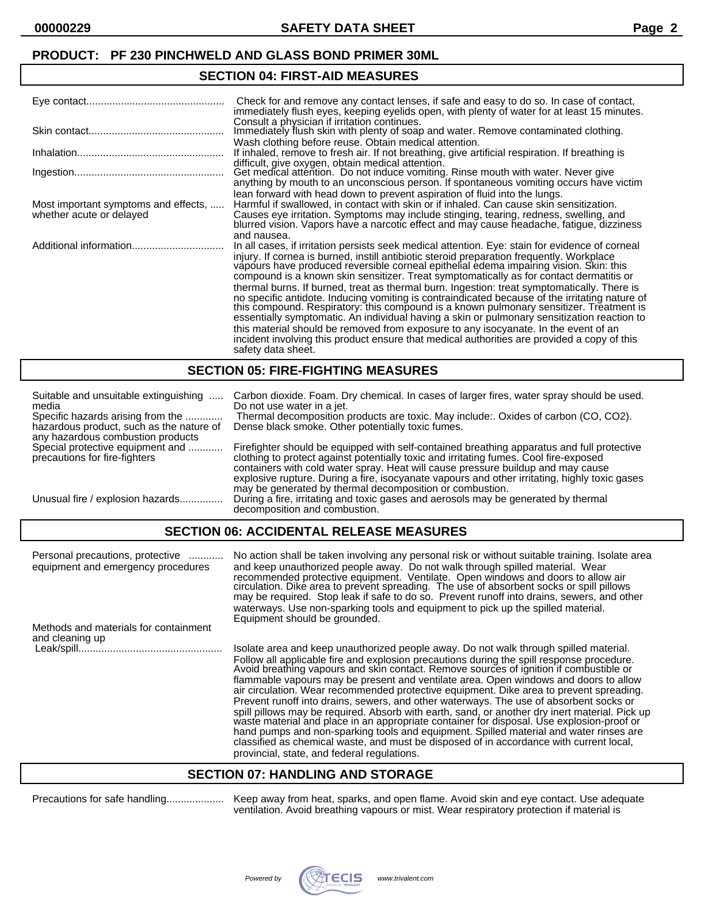### **SECTION 04: FIRST-AID MEASURES**

|                                                                  | Check for and remove any contact lenses, if safe and easy to do so. In case of contact,<br>immediately flush eyes, keeping eyelids open, with plenty of water for at least 15 minutes.                                                                                                                                                                                                                                                                                                                                                                                                                                                                                                                                                                                                                                                                                                                                                                                                               |
|------------------------------------------------------------------|------------------------------------------------------------------------------------------------------------------------------------------------------------------------------------------------------------------------------------------------------------------------------------------------------------------------------------------------------------------------------------------------------------------------------------------------------------------------------------------------------------------------------------------------------------------------------------------------------------------------------------------------------------------------------------------------------------------------------------------------------------------------------------------------------------------------------------------------------------------------------------------------------------------------------------------------------------------------------------------------------|
|                                                                  | Consult a physician if irritation continues.<br>Immediately flush skin with plenty of soap and water. Remove contaminated clothing.                                                                                                                                                                                                                                                                                                                                                                                                                                                                                                                                                                                                                                                                                                                                                                                                                                                                  |
|                                                                  | Wash clothing before reuse. Obtain medical attention.<br>If inhaled, remove to fresh air. If not breathing, give artificial respiration. If breathing is                                                                                                                                                                                                                                                                                                                                                                                                                                                                                                                                                                                                                                                                                                                                                                                                                                             |
|                                                                  | difficult, give oxygen, obtain medical attention.<br>Get medical attention. Do not induce vomiting. Rinse mouth with water. Never give<br>anything by mouth to an unconscious person. If spontaneous vomiting occurs have victim                                                                                                                                                                                                                                                                                                                                                                                                                                                                                                                                                                                                                                                                                                                                                                     |
| Most important symptoms and effects,<br>whether acute or delayed | lean forward with head down to prevent aspiration of fluid into the lungs.<br>Harmful if swallowed, in contact with skin or if inhaled. Can cause skin sensitization.<br>Causes eye irritation. Symptoms may include stinging, tearing, redness, swelling, and<br>blurred vision. Vapors have a narcotic effect and may cause headache, fatigue, dizziness                                                                                                                                                                                                                                                                                                                                                                                                                                                                                                                                                                                                                                           |
|                                                                  | and nausea.<br>In all cases, if irritation persists seek medical attention. Eye: stain for evidence of corneal<br>injury. If cornea is burned, instill antibiotic steroid preparation frequently. Workplace<br>vapours have produced reversible corneal epithelial edema impairing vision. Skin: this<br>compound is a known skin sensitizer. Treat symptomatically as for contact dermatitis or<br>thermal burns. If burned, treat as thermal burn. Ingestion: treat symptomatically. There is<br>no specific antidote. Inducing vomiting is contraindicated because of the irritating nature of this compound. Respiratory: this compound is a known pulmonary sensitizer. Treatment is<br>essentially symptomatic. An individual having a skin or pulmonary sensitization reaction to<br>this material should be removed from exposure to any isocyanate. In the event of an<br>incident involving this product ensure that medical authorities are provided a copy of this<br>safety data sheet. |

### **SECTION 05: FIRE-FIGHTING MEASURES**

| Suitable and unsuitable extinguishing                                         | Carbon dioxide. Foam. Dry chemical. In cases of larger fires, water spray should be used.                                                                                                                                                                                                                                                                                                                                            |
|-------------------------------------------------------------------------------|--------------------------------------------------------------------------------------------------------------------------------------------------------------------------------------------------------------------------------------------------------------------------------------------------------------------------------------------------------------------------------------------------------------------------------------|
| media                                                                         | Do not use water in a jet.                                                                                                                                                                                                                                                                                                                                                                                                           |
| Specific hazards arising from the                                             | Thermal decomposition products are toxic. May include: Oxides of carbon (CO, CO2).                                                                                                                                                                                                                                                                                                                                                   |
| hazardous product, such as the nature of<br>any hazardous combustion products | Dense black smoke. Other potentially toxic fumes.                                                                                                                                                                                                                                                                                                                                                                                    |
| Special protective equipment and<br>precautions for fire-fighters             | Firefighter should be equipped with self-contained breathing apparatus and full protective<br>clothing to protect against potentially toxic and irritating fumes. Cool fire-exposed<br>containers with cold water spray. Heat will cause pressure buildup and may cause<br>explosive rupture. During a fire, isocyanate vapours and other irritating, highly toxic gases<br>may be generated by thermal decomposition or combustion. |
| Unusual fire / explosion hazards                                              | During a fire, irritating and toxic gases and aerosols may be generated by thermal<br>decomposition and combustion.                                                                                                                                                                                                                                                                                                                  |

# **SECTION 06: ACCIDENTAL RELEASE MEASURES**

| Personal precautions, protective<br>equipment and emergency procedures | No action shall be taken involving any personal risk or without suitable training. Isolate area<br>and keep unauthorized people away. Do not walk through spilled material. Wear<br>recommended protective equipment. Ventilate. Open windows and doors to allow air<br>circulation. Dike area to prevent spreading. The use of absorbent socks or spill pillows<br>may be required. Stop leak if safe to do so. Prevent runoff into drains, sewers, and other<br>waterways. Use non-sparking tools and equipment to pick up the spilled material.<br>Equipment should be grounded.                                                                                                                                                                                                                                                                                                              |
|------------------------------------------------------------------------|--------------------------------------------------------------------------------------------------------------------------------------------------------------------------------------------------------------------------------------------------------------------------------------------------------------------------------------------------------------------------------------------------------------------------------------------------------------------------------------------------------------------------------------------------------------------------------------------------------------------------------------------------------------------------------------------------------------------------------------------------------------------------------------------------------------------------------------------------------------------------------------------------|
| Methods and materials for containment                                  |                                                                                                                                                                                                                                                                                                                                                                                                                                                                                                                                                                                                                                                                                                                                                                                                                                                                                                  |
| and cleaning up                                                        |                                                                                                                                                                                                                                                                                                                                                                                                                                                                                                                                                                                                                                                                                                                                                                                                                                                                                                  |
|                                                                        | Isolate area and keep unauthorized people away. Do not walk through spilled material.                                                                                                                                                                                                                                                                                                                                                                                                                                                                                                                                                                                                                                                                                                                                                                                                            |
|                                                                        | Follow all applicable fire and explosion precautions during the spill response procedure.<br>Avoid breathing vapours and skin contact. Remove sources of ignition if combustible or<br>flammable vapours may be present and ventilate area. Open windows and doors to allow<br>air circulation. Wear recommended protective equipment. Dike area to prevent spreading.<br>Prevent runoff into drains, sewers, and other waterways. The use of absorbent socks or<br>spill pillows may be required. Absorb with earth, sand, or another dry inert material. Pick up waste material and place in an appropriate container for disposal. Use explosion-proof or<br>hand pumps and non-sparking tools and equipment. Spilled material and water rinses are<br>classified as chemical waste, and must be disposed of in accordance with current local,<br>provincial, state, and federal regulations. |

### **SECTION 07: HANDLING AND STORAGE**

Precautions for safe handling.................... Keep away from heat, sparks, and open flame. Avoid skin and eye contact. Use adequate ventilation. Avoid breathing vapours or mist. Wear respiratory protection if material is

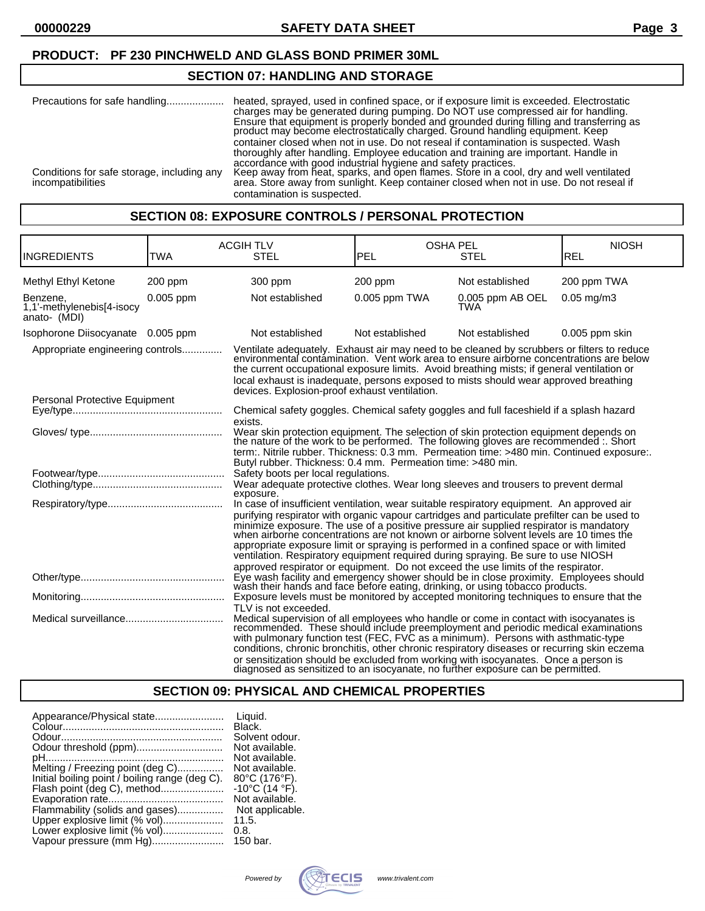### **SECTION 07: HANDLING AND STORAGE**

| Precautions for safe handling                                   | heated, sprayed, used in confined space, or if exposure limit is exceeded. Electrostatic<br>charges may be generated during pumping. Do NOT use compressed air for handling.<br>Ensure that equipment is properly bonded and grounded during filling and transferring as<br>product may become electrostatically charged. Ground handling equipment. Keep<br>container closed when not in use. Do not reseal if contamination is suspected. Wash<br>thoroughly after handling. Employee education and training are important. Handle in |
|-----------------------------------------------------------------|-----------------------------------------------------------------------------------------------------------------------------------------------------------------------------------------------------------------------------------------------------------------------------------------------------------------------------------------------------------------------------------------------------------------------------------------------------------------------------------------------------------------------------------------|
| Conditions for safe storage, including any<br>incompatibilities | accordance with good industrial hygiene and safety practices.<br>Keep away from heat, sparks, and open flames. Store in a cool, dry and well ventilated<br>area. Store away from sunlight. Keep container closed when not in use. Do not reseal if<br>contamination is suspected.                                                                                                                                                                                                                                                       |

### **SECTION 08: EXPOSURE CONTROLS / PERSONAL PROTECTION**

| <b>INGREDIENTS</b>                                    | <b>TWA</b> | <b>ACGIH TLV</b><br><b>OSHA PEL</b><br>PEL<br><b>STEL</b><br><b>STEL</b>                                                                                                                                                                                                                                                                                                                                                                                                                                                                                          |                                                                                                                                                                                                                                                                                                                                                                                                                                                                                                                                                                                                                                                 | <b>NIOSH</b><br>REL     |                 |
|-------------------------------------------------------|------------|-------------------------------------------------------------------------------------------------------------------------------------------------------------------------------------------------------------------------------------------------------------------------------------------------------------------------------------------------------------------------------------------------------------------------------------------------------------------------------------------------------------------------------------------------------------------|-------------------------------------------------------------------------------------------------------------------------------------------------------------------------------------------------------------------------------------------------------------------------------------------------------------------------------------------------------------------------------------------------------------------------------------------------------------------------------------------------------------------------------------------------------------------------------------------------------------------------------------------------|-------------------------|-----------------|
| Methyl Ethyl Ketone                                   | $200$ ppm  | 300 ppm                                                                                                                                                                                                                                                                                                                                                                                                                                                                                                                                                           | 200 ppm                                                                                                                                                                                                                                                                                                                                                                                                                                                                                                                                                                                                                                         | Not established         | 200 ppm TWA     |
| Benzene.<br>1,1'-methylenebis[4-isocy<br>anato- (MDI) | 0.005 ppm  | Not established                                                                                                                                                                                                                                                                                                                                                                                                                                                                                                                                                   | $0.005$ ppm TWA                                                                                                                                                                                                                                                                                                                                                                                                                                                                                                                                                                                                                                 | 0.005 ppm AB OEL<br>TWA | $0.05$ mg/m $3$ |
| Isophorone Diisocyanate 0.005 ppm                     |            | Not established                                                                                                                                                                                                                                                                                                                                                                                                                                                                                                                                                   | Not established                                                                                                                                                                                                                                                                                                                                                                                                                                                                                                                                                                                                                                 | Not established         | 0.005 ppm skin  |
| Appropriate engineering controls                      |            | Ventilate adequately. Exhaust air may need to be cleaned by scrubbers or filters to reduce<br>environmental contámination. Vent work area to ensure airborne concentrations are below<br>the current occupational exposure limits. Avoid breathing mists; if general ventilation or<br>local exhaust is inadequate, persons exposed to mists should wear approved breathing<br>devices. Explosion-proof exhaust ventilation.                                                                                                                                      |                                                                                                                                                                                                                                                                                                                                                                                                                                                                                                                                                                                                                                                 |                         |                 |
| Personal Protective Equipment                         |            |                                                                                                                                                                                                                                                                                                                                                                                                                                                                                                                                                                   |                                                                                                                                                                                                                                                                                                                                                                                                                                                                                                                                                                                                                                                 |                         |                 |
|                                                       |            | Chemical safety goggles. Chemical safety goggles and full faceshield if a splash hazard<br>exists.                                                                                                                                                                                                                                                                                                                                                                                                                                                                |                                                                                                                                                                                                                                                                                                                                                                                                                                                                                                                                                                                                                                                 |                         |                 |
|                                                       |            | Wear skin protection equipment. The selection of skin protection equipment depends on<br>the nature of the work to be performed. The following gloves are recommended :. Short<br>term:. Nitrile rubber. Thickness: 0.3 mm. Permeation time: >480 min. Continued exposure:.<br>Butyl rubber. Thickness: 0.4 mm. Permeation time: >480 min.                                                                                                                                                                                                                        |                                                                                                                                                                                                                                                                                                                                                                                                                                                                                                                                                                                                                                                 |                         |                 |
|                                                       |            | Safety boots per local regulations.                                                                                                                                                                                                                                                                                                                                                                                                                                                                                                                               |                                                                                                                                                                                                                                                                                                                                                                                                                                                                                                                                                                                                                                                 |                         |                 |
|                                                       |            | Wear adequate protective clothes. Wear long sleeves and trousers to prevent dermal<br>exposure.                                                                                                                                                                                                                                                                                                                                                                                                                                                                   |                                                                                                                                                                                                                                                                                                                                                                                                                                                                                                                                                                                                                                                 |                         |                 |
|                                                       |            |                                                                                                                                                                                                                                                                                                                                                                                                                                                                                                                                                                   | In case of insufficient ventilation, wear suitable respiratory equipment. An approved air<br>purifying respirator with organic vapour cartridges and particulate prefilter can be used to<br>minimize exposure. The use of a positive pressure air supplied respirator is mandatory when airborne concentrations are not known or airborne solvent levels are 10 times the<br>appropriate exposure limit or spraying is performed in a confined space or with limited<br>ventilation. Respiratory equipment required during spraying. Be sure to use NIOSH<br>approved respirator or equipment. Do not exceed the use limits of the respirator. |                         |                 |
|                                                       |            | Eye wash facility and emergency shower should be in close proximity. Employees should                                                                                                                                                                                                                                                                                                                                                                                                                                                                             |                                                                                                                                                                                                                                                                                                                                                                                                                                                                                                                                                                                                                                                 |                         |                 |
|                                                       |            | wash their hands and face before eating, drinking, or using to bacco products.<br>Exposure levels must be monitored by accepted monitoring techniques to ensure that the                                                                                                                                                                                                                                                                                                                                                                                          |                                                                                                                                                                                                                                                                                                                                                                                                                                                                                                                                                                                                                                                 |                         |                 |
|                                                       |            | TLV is not exceeded.<br>Medical supervision of all employees who handle or come in contact with isocyanates is<br>recommended. These should include preemployment and periodic medical examinations<br>with pulmonary function test (FEC, FVC as a minimum). Persons with asthmatic-type<br>conditions, chronic bronchitis, other chronic respiratory diseases or recurring skin eczema<br>or sensitization should be excluded from working with isocyanates. Once a person is<br>diagnosed as sensitized to an isocyanate, no further exposure can be permitted. |                                                                                                                                                                                                                                                                                                                                                                                                                                                                                                                                                                                                                                                 |                         |                 |

# **SECTION 09: PHYSICAL AND CHEMICAL PROPERTIES**

| Appearance/Physical state                      | Liquid.<br>Black.                  |
|------------------------------------------------|------------------------------------|
|                                                | Solvent odour.                     |
| Odour threshold (ppm)                          | Not available.                     |
|                                                | Not available.                     |
| Melting / Freezing point (deg C)               | Not available.                     |
| Initial boiling point / boiling range (deg C). | $80^{\circ}$ C (176 $^{\circ}$ F). |
|                                                | $-10^{\circ}$ C (14 $^{\circ}$ F). |
|                                                | Not available.                     |
| Flammability (solids and gases)                | Not applicable.                    |
| Upper explosive limit (% vol)                  | 11.5.                              |
| Lower explosive limit (% vol)                  | 0.8.                               |
| Vapour pressure (mm Hg)                        | 150 bar.                           |

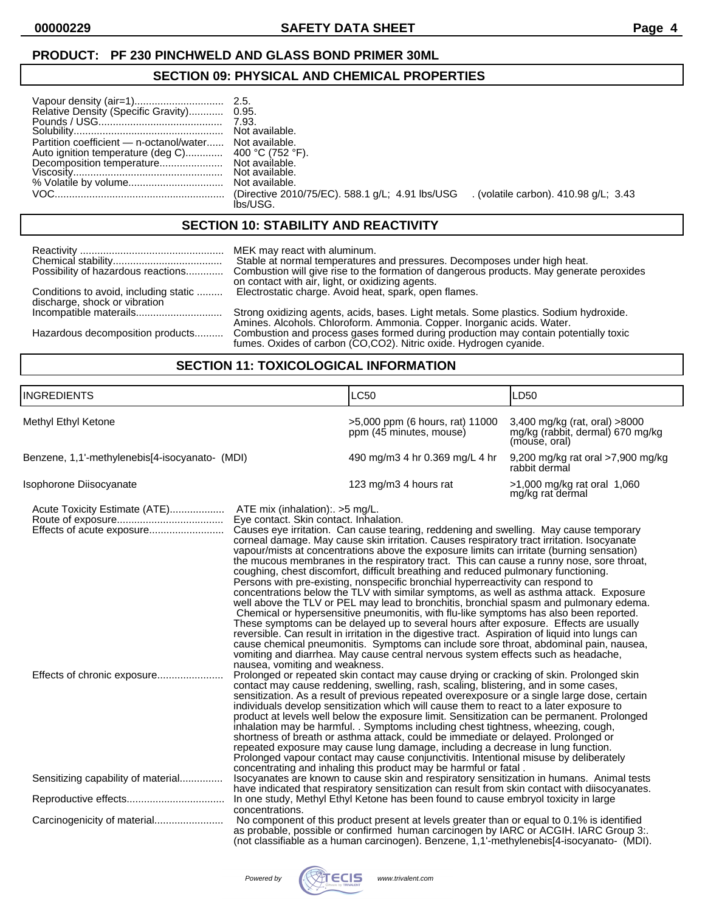# **SECTION 09: PHYSICAL AND CHEMICAL PROPERTIES**

| Relative Density (Specific Gravity) 0.95.<br>Partition coefficient - n-octanol/water Not available. | 7.93.<br>Not available.                                                                         |  |
|-----------------------------------------------------------------------------------------------------|-------------------------------------------------------------------------------------------------|--|
|                                                                                                     | (Directive 2010/75/EC). 588.1 g/L; 4.91 lbs/USG (volatile carbon). 410.98 g/L; 3.43<br>lbs/USG. |  |

### **SECTION 10: STABILITY AND REACTIVITY**

|                                       | MEK may react with aluminum.                                                                                                                                    |
|---------------------------------------|-----------------------------------------------------------------------------------------------------------------------------------------------------------------|
|                                       | Stable at normal temperatures and pressures. Decomposes under high heat.                                                                                        |
| Possibility of hazardous reactions    | Combustion will give rise to the formation of dangerous products. May generate peroxides                                                                        |
| Conditions to avoid, including static | on contact with air, light, or oxidizing agents.                                                                                                                |
| discharge, shock or vibration         | Electrostatic charge. Avoid heat, spark, open flames.                                                                                                           |
|                                       | Strong oxidizing agents, acids, bases. Light metals. Some plastics. Sodium hydroxide.<br>Amines. Alcohols. Chloroform. Ammonia. Copper. Inorganic acids. Water. |
| Hazardous decomposition products      | Combustion and process gases formed during production may contain potentially toxic<br>fumes. Oxides of carbon (CO,CO2). Nitric oxide. Hydrogen cyanide.        |

# **SECTION 11: TOXICOLOGICAL INFORMATION**

| <b>INGREDIENTS</b>                                         |                                                                                                                                                                                                                                                                                                                                                                           | <b>LC50</b>                                                                                                                                                                                                                                                                                                                                                                                                                                                                                                                                                                                                                                                                                                                                                                                                                                                                                                                                                                                                                                                                                                                                                                                                                                                                                                                                                                                                                                                                                                                                                                                                                                                                                                                                                                                                                                                                                                                                                                                                                                                            | LD <sub>50</sub>                                                                   |
|------------------------------------------------------------|---------------------------------------------------------------------------------------------------------------------------------------------------------------------------------------------------------------------------------------------------------------------------------------------------------------------------------------------------------------------------|------------------------------------------------------------------------------------------------------------------------------------------------------------------------------------------------------------------------------------------------------------------------------------------------------------------------------------------------------------------------------------------------------------------------------------------------------------------------------------------------------------------------------------------------------------------------------------------------------------------------------------------------------------------------------------------------------------------------------------------------------------------------------------------------------------------------------------------------------------------------------------------------------------------------------------------------------------------------------------------------------------------------------------------------------------------------------------------------------------------------------------------------------------------------------------------------------------------------------------------------------------------------------------------------------------------------------------------------------------------------------------------------------------------------------------------------------------------------------------------------------------------------------------------------------------------------------------------------------------------------------------------------------------------------------------------------------------------------------------------------------------------------------------------------------------------------------------------------------------------------------------------------------------------------------------------------------------------------------------------------------------------------------------------------------------------------|------------------------------------------------------------------------------------|
| Methyl Ethyl Ketone                                        |                                                                                                                                                                                                                                                                                                                                                                           | >5,000 ppm (6 hours, rat) 11000<br>ppm (45 minutes, mouse)                                                                                                                                                                                                                                                                                                                                                                                                                                                                                                                                                                                                                                                                                                                                                                                                                                                                                                                                                                                                                                                                                                                                                                                                                                                                                                                                                                                                                                                                                                                                                                                                                                                                                                                                                                                                                                                                                                                                                                                                             | 3,400 mg/kg (rat, oral) >8000<br>mg/kg (rabbit, dermal) 670 mg/kg<br>(mouse, oral) |
| Benzene, 1,1'-methylenebis[4-isocyanato- (MDI)             |                                                                                                                                                                                                                                                                                                                                                                           | 490 mg/m3 4 hr 0.369 mg/L 4 hr                                                                                                                                                                                                                                                                                                                                                                                                                                                                                                                                                                                                                                                                                                                                                                                                                                                                                                                                                                                                                                                                                                                                                                                                                                                                                                                                                                                                                                                                                                                                                                                                                                                                                                                                                                                                                                                                                                                                                                                                                                         | 9,200 mg/kg rat oral >7,900 mg/kg<br>rabbit dermal                                 |
| Isophorone Diisocyanate                                    |                                                                                                                                                                                                                                                                                                                                                                           | 123 mg/m3 4 hours rat                                                                                                                                                                                                                                                                                                                                                                                                                                                                                                                                                                                                                                                                                                                                                                                                                                                                                                                                                                                                                                                                                                                                                                                                                                                                                                                                                                                                                                                                                                                                                                                                                                                                                                                                                                                                                                                                                                                                                                                                                                                  | >1,000 mg/kg rat oral 1,060<br>mg/kg rat dermal                                    |
| Acute Toxicity Estimate (ATE)<br>Effects of acute exposure | Prolonged vapour contact may cause conjunctivitis. Intentional misuse by deliberately                                                                                                                                                                                                                                                                                     | ATE mix (inhalation): > 5 mg/L.<br>Eye contact. Skin contact. Inhalation.<br>Causes eye irritation. Can cause tearing, reddening and swelling. May cause temporary<br>corneal damage. May cause skin irritation. Causes respiratory tract irritation. Isocyanate<br>vapour/mists at concentrations above the exposure limits can irritate (burning sensation)<br>the mucous membranes in the respiratory tract. This can cause a runny nose, sore throat,<br>coughing, chest discomfort, difficult breathing and reduced pulmonary functioning.<br>Persons with pre-existing, nonspecific bronchial hyperreactivity can respond to<br>concentrations below the TLV with similar symptoms, as well as asthma attack. Exposure<br>well above the TLV or PEL may lead to bronchitis, bronchial spasm and pulmonary edema.<br>Chemical or hypersensitive pneumonitis, with flu-like symptoms has also been reported.<br>These symptoms can be delayed up to several hours after exposure. Effects are usually<br>reversible. Can result in irritation in the digestive tract. Aspiration of liquid into lungs can<br>cause chemical pneumonitis. Symptoms can include sore throat, abdominal pain, nausea,<br>vomiting and diarrhea. May cause central nervous system effects such as headache,<br>nausea, vomiting and weakness.<br>Prolonged or repeated skin contact may cause drying or cracking of skin. Prolonged skin<br>contact may cause reddening, swelling, rash, scaling, blistering, and in some cases,<br>sensitization. As a result of previous repeated overexposure or a single large dose, certain<br>individuals develop sensitization which will cause them to react to a later exposure to<br>product at levels well below the exposure limit. Sensitization can be permanent. Prolonged<br>inhalation may be harmful. . Symptoms including chest tightness, wheezing, cough,<br>shortness of breath or asthma attack, could be immediate or delayed. Prolonged or<br>repeated exposure may cause lung damage, including a decrease in lung function. |                                                                                    |
| Sensitizing capability of material                         | concentrating and inhaling this product may be harmful or fatal.<br>Isocyanates are known to cause skin and respiratory sensitization in humans. Animal tests<br>have indicated that respiratory sensitization can result from skin contact with diisocyanates.<br>In one study, Methyl Ethyl Ketone has been found to cause embryol toxicity in large<br>concentrations. |                                                                                                                                                                                                                                                                                                                                                                                                                                                                                                                                                                                                                                                                                                                                                                                                                                                                                                                                                                                                                                                                                                                                                                                                                                                                                                                                                                                                                                                                                                                                                                                                                                                                                                                                                                                                                                                                                                                                                                                                                                                                        |                                                                                    |
|                                                            |                                                                                                                                                                                                                                                                                                                                                                           |                                                                                                                                                                                                                                                                                                                                                                                                                                                                                                                                                                                                                                                                                                                                                                                                                                                                                                                                                                                                                                                                                                                                                                                                                                                                                                                                                                                                                                                                                                                                                                                                                                                                                                                                                                                                                                                                                                                                                                                                                                                                        |                                                                                    |
|                                                            |                                                                                                                                                                                                                                                                                                                                                                           | No component of this product present at levels greater than or equal to 0.1% is identified<br>as probable, possible or confirmed human carcinogen by IARC or ACGIH. IARC Group 3:.<br>(not classifiable as a human carcinogen). Benzene, 1,1'-methylenebis[4-isocyanato- (MDI).                                                                                                                                                                                                                                                                                                                                                                                                                                                                                                                                                                                                                                                                                                                                                                                                                                                                                                                                                                                                                                                                                                                                                                                                                                                                                                                                                                                                                                                                                                                                                                                                                                                                                                                                                                                        |                                                                                    |